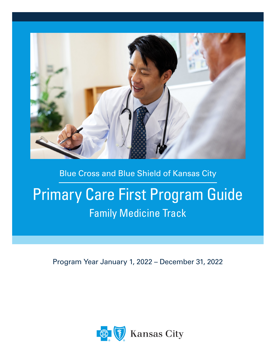

# Blue Cross and Blue Shield of Kansas City

# Primary Care First Program Guide Family Medicine Track

Program Year January 1, 2022 – December 31, 2022

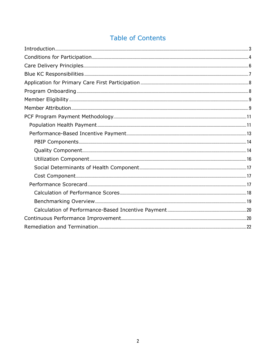# **Table of Contents**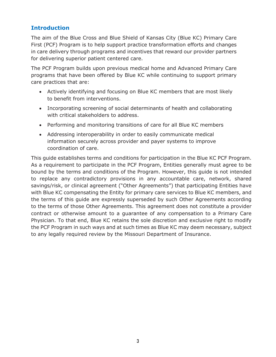# <span id="page-3-0"></span>**Introduction**

The aim of the Blue Cross and Blue Shield of Kansas City (Blue KC) Primary Care First (PCF) Program is to help support practice transformation efforts and changes in care delivery through programs and incentives that reward our provider partners for delivering superior patient centered care.

The PCF Program builds upon previous medical home and Advanced Primary Care programs that have been offered by Blue KC while continuing to support primary care practices that are:

- Actively identifying and focusing on Blue KC members that are most likely to benefit from interventions.
- Incorporating screening of social determinants of health and collaborating with critical stakeholders to address.
- Performing and monitoring transitions of care for all Blue KC members
- Addressing interoperability in order to easily communicate medical information securely across provider and payer systems to improve coordination of care.

This guide establishes terms and conditions for participation in the Blue KC PCF Program. As a requirement to participate in the PCF Program, Entities generally must agree to be bound by the terms and conditions of the Program. However, this guide is not intended to replace any contradictory provisions in any accountable care, network, shared savings/risk, or clinical agreement ("Other Agreements") that participating Entities have with Blue KC compensating the Entity for primary care services to Blue KC members, and the terms of this guide are expressly superseded by such Other Agreements according to the terms of those Other Agreements. This agreement does not constitute a provider contract or otherwise amount to a guarantee of any compensation to a Primary Care Physician. To that end, Blue KC retains the sole discretion and exclusive right to modify the PCF Program in such ways and at such times as Blue KC may deem necessary, subject to any legally required review by the Missouri Department of Insurance.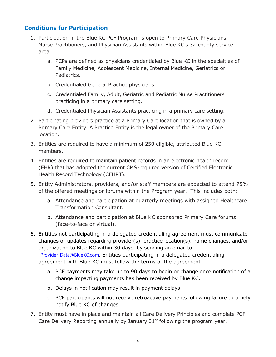# <span id="page-4-0"></span>**Conditions for Participation**

- 1. Participation in the Blue KC PCF Program is open to Primary Care Physicians, Nurse Practitioners, and Physician Assistants within Blue KC's 32-county service area.
	- a. PCPs are defined as physicians credentialed by Blue KC in the specialties of Family Medicine, Adolescent Medicine, Internal Medicine, Geriatrics or Pediatrics.
	- b. Credentialed General Practice physicians.
	- c. Credentialed Family, Adult, Geriatric and Pediatric Nurse Practitioners practicing in a primary care setting.
	- d. Credentialed Physician Assistants practicing in a primary care setting.
- 2. Participating providers practice at a Primary Care location that is owned by a Primary Care Entity. A Practice Entity is the legal owner of the Primary Care location.
- 3. Entities are required to have a minimum of 250 eligible, attributed Blue KC members.
- 4. Entities are required to maintain patient records in an electronic health record (EHR) that has adopted the current CMS-required version of Certified Electronic Health Record Technology (CEHRT).
- 5. Entity Administrators, providers, and/or staff members are expected to attend 75% of the offered meetings or forums within the Program year. This includes both:
	- a. Attendance and participation at quarterly meetings with assigned Healthcare Transformation Consultant.
	- b. Attendance and participation at Blue KC sponsored Primary Care forums (face-to-face or virtual).
- 6. Entities not participating in a delegated credentialing agreement must communicate changes or updates regarding provider(s), practice location(s), name changes, and/or organization to Blue KC within 30 days, by sending an email to Provider Data@BlueKC.com. Entities participating in a delegated credentialing agreement with Blue KC must follow the terms of the agreement.
	- a. PCF payments may take up to 90 days to begin or change once notification of a change impacting payments has been received by Blue KC.
	- b. Delays in notification may result in payment delays.
	- c. PCF participants will not receive retroactive payments following failure to timely notify Blue KC of changes.
- 7. Entity must have in place and maintain all Care Delivery Principles and complete PCF Care Delivery Reporting annually by January  $31<sup>st</sup>$  following the program year.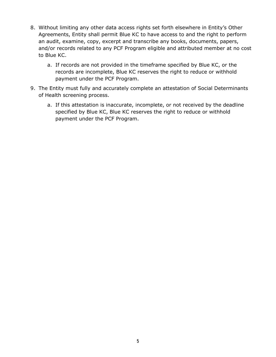- 8. Without limiting any other data access rights set forth elsewhere in Entity's Other Agreements, Entity shall permit Blue KC to have access to and the right to perform an audit, examine, copy, excerpt and transcribe any books, documents, papers, and/or records related to any PCF Program eligible and attributed member at no cost to Blue KC.
	- a. If records are not provided in the timeframe specified by Blue KC, or the records are incomplete, Blue KC reserves the right to reduce or withhold payment under the PCF Program.
- 9. The Entity must fully and accurately complete an attestation of Social Determinants of Health screening process.
	- a. If this attestation is inaccurate, incomplete, or not received by the deadline specified by Blue KC, Blue KC reserves the right to reduce or withhold payment under the PCF Program.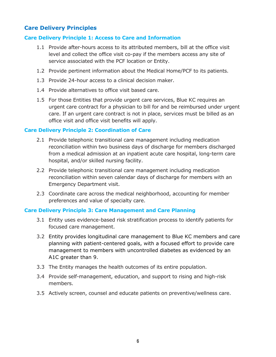# <span id="page-6-0"></span>**Care Delivery Principles**

#### **Care Delivery Principle 1: Access to Care and Information**

- 1.1 Provide after-hours access to its attributed members, bill at the office visit level and collect the office visit co-pay if the members access any site of service associated with the PCF location or Entity.
- 1.2 Provide pertinent information about the Medical Home/PCF to its patients.
- 1.3 Provide 24-hour access to a clinical decision maker.
- 1.4 Provide alternatives to office visit based care.
- 1.5 For those Entities that provide urgent care services, Blue KC requires an urgent care contract for a physician to bill for and be reimbursed under urgent care. If an urgent care contract is not in place, services must be billed as an office visit and office visit benefits will apply.

#### **Care Delivery Principle 2: Coordination of Care**

- 2.1 Provide telephonic transitional care management including medication reconciliation within two business days of discharge for members discharged from a medical admission at an inpatient acute care hospital, long-term care hospital, and/or skilled nursing facility.
- 2.2 Provide telephonic transitional care management including medication reconciliation within seven calendar days of discharge for members with an Emergency Department visit.
- 2.3 Coordinate care across the medical neighborhood, accounting for member preferences and value of specialty care.

#### **Care Delivery Principle 3: Care Management and Care Planning**

- 3.1 Entity uses evidence-based risk stratification process to identify patients for focused care management.
- 3.2 Entity provides longitudinal care management to Blue KC members and care planning with patient-centered goals, with a focused effort to provide care management to members with uncontrolled diabetes as evidenced by an A1C greater than 9.
- 3.3 The Entity manages the health outcomes of its entire population.
- 3.4 Provide self-management, education, and support to rising and high-risk members.
- 3.5 Actively screen, counsel and educate patients on preventive/wellness care.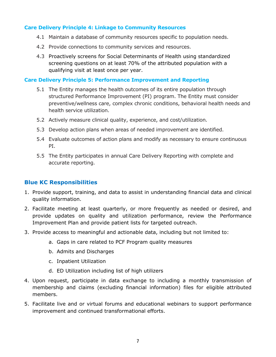#### **Care Delivery Principle 4: Linkage to Community Resources**

- 4.1 Maintain a database of community resources specific to population needs.
- 4.2 Provide connections to community services and resources.
- 4.3 Proactively screens for Social Determinants of Health using standardized screening questions on at least 70% of the attributed population with a qualifying visit at least once per year.

#### **Care Delivery Principle 5: Performance Improvement and Reporting**

- 5.1 The Entity manages the health outcomes of its entire population through structured Performance Improvement (PI) program. The Entity must consider preventive/wellness care, complex chronic conditions, behavioral health needs and health service utilization.
- 5.2 Actively measure clinical quality, experience, and cost/utilization.
- 5.3 Develop action plans when areas of needed improvement are identified.
- 5.4 Evaluate outcomes of action plans and modify as necessary to ensure continuous PI.
- 5.5 The Entity participates in annual Care Delivery Reporting with complete and accurate reporting.

# <span id="page-7-0"></span>**Blue KC Responsibilities**

- 1. Provide support, training, and data to assist in understanding financial data and clinical quality information.
- 2. Facilitate meeting at least quarterly, or more frequently as needed or desired, and provide updates on quality and utilization performance, review the Performance Improvement Plan and provide patient lists for targeted outreach.
- 3. Provide access to meaningful and actionable data, including but not limited to:
	- a. Gaps in care related to PCF Program quality measures
	- b. Admits and Discharges
	- c. Inpatient Utilization
	- d. ED Utilization including list of high utilizers
- 4. Upon request, participate in data exchange to including a monthly transmission of membership and claims (excluding financial information) files for eligible attributed members.
- 5. Facilitate live and or virtual forums and educational webinars to support performance improvement and continued transformational efforts.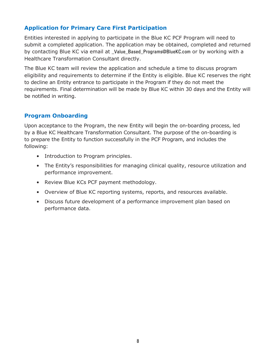# <span id="page-8-0"></span>**Application for Primary Care First Participation**

Entities interested in applying to participate in the Blue KC PCF Program will need to submit a completed application. The application may be obtained, completed and returned by contacting Blue KC via email at [\\_Value\\_Based\\_Programs@BlueKC.com](mailto:_Value_Based_Programs@BlueKC.com) or by working with a Healthcare Transformation Consultant directly.

The Blue KC team will review the application and schedule a time to discuss program eligibility and requirements to determine if the Entity is eligible. Blue KC reserves the right to decline an Entity entrance to participate in the Program if they do not meet the requirements. Final determination will be made by Blue KC within 30 days and the Entity will be notified in writing.

# <span id="page-8-1"></span>**Program Onboarding**

Upon acceptance to the Program, the new Entity will begin the on-boarding process, led by a Blue KC Healthcare Transformation Consultant. The purpose of the on-boarding is to prepare the Entity to function successfully in the PCF Program, and includes the following:

- Introduction to Program principles.
- The Entity's responsibilities for managing clinical quality, resource utilization and performance improvement.
- Review Blue KCs PCF payment methodology.
- Overview of Blue KC reporting systems, reports, and resources available.
- Discuss future development of a performance improvement plan based on performance data.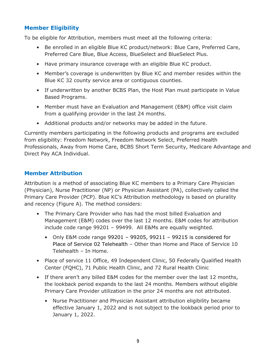# <span id="page-9-0"></span>**Member Eligibility**

To be eligible for Attribution, members must meet all the following criteria:

- Be enrolled in an eligible Blue KC product/network: Blue Care, Preferred Care, Preferred Care Blue, Blue Access, BlueSelect and BlueSelect Plus.
- Have primary insurance coverage with an eligible Blue KC product.
- Member's coverage is underwritten by Blue KC and member resides within the Blue KC 32 county service area or contiguous counties.
- If underwritten by another BCBS Plan, the Host Plan must participate in Value Based Programs.
- Member must have an Evaluation and Management (E&M) office visit claim from a qualifying provider in the last 24 months.
- Additional products and/or networks may be added in the future.

Currently members participating in the following products and programs are excluded from eligibility: Freedom Network, Freedom Network Select, Preferred Health Professionals, Away from Home Care, BCBS Short Term Security, Medicare Advantage and Direct Pay ACA Individual.

# <span id="page-9-1"></span>**Member Attribution**

Attribution is a method of associating Blue KC members to a Primary Care Physician (Physician), Nurse Practitioner (NP) or Physician Assistant (PA), collectively called the Primary Care Provider (PCP). Blue KC's Attribution methodology is based on plurality and recency (Figure A). The method considers:

- The Primary Care Provider who has had the most billed Evaluation and Management (E&M) codes over the last 12 months. E&M codes for attribution include code range 99201 – 99499. All E&Ms are equally weighted.
	- Only E&M code range  $99201 99205$ ,  $99211 99215$  is considered for Place of Service 02 Telehealth – Other than Home and Place of Service 10 Telehealth – In Home.
- Place of service 11 Office, 49 Independent Clinic, 50 Federally Qualified Health Center (FQHC), 71 Public Health Clinic, and 72 Rural Health Clinic
- If there aren't any billed E&M codes for the member over the last 12 months, the lookback period expands to the last 24 months. Members without eligible Primary Care Provider utilization in the prior 24 months are not attributed.
	- Nurse Practitioner and Physician Assistant attribution eligibility became effective January 1, 2022 and is not subject to the lookback period prior to January 1, 2022.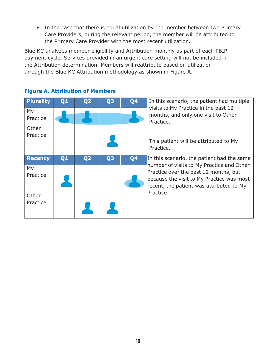• In the case that there is equal utilization by the member between two Primary Care Providers, during the relevant period, the member will be attributed to the Primary Care Provider with the most recent utilization.

Blue KC analyzes member eligibility and Attribution monthly as part of each PBIP payment cycle. Services provided in an urgent care setting will not be included in the Attribution determination. Members will reattribute based on utilization through the Blue KC Attribution methodology as shown in Figure A.

| <b>Plurality</b>  | Q1 | Q <sub>2</sub> | Q <sub>3</sub> | Q4             | In this scenario, the patient had multiple                                                                                                                                  |  |
|-------------------|----|----------------|----------------|----------------|-----------------------------------------------------------------------------------------------------------------------------------------------------------------------------|--|
| My<br>Practice    |    |                |                |                | visits to My Practice in the past 12<br>months, and only one visit to Other<br>Practice.                                                                                    |  |
| Other<br>Practice |    |                |                |                | This patient will be attributed to My<br>Practice.                                                                                                                          |  |
| <b>Recency</b>    | Q1 | Q <sub>2</sub> | Q <sub>3</sub> | Q <sub>4</sub> | In this scenario, the patient had the same                                                                                                                                  |  |
| My<br>Practice    |    |                |                |                | number of visits to My Practice and Other<br>Practice over the past 12 months, but<br>because the visit to My Practice was most<br>recent, the patient was attributed to My |  |
| Other<br>Practice |    |                |                |                | Practice.                                                                                                                                                                   |  |

# **Figure A. Attribution of Members**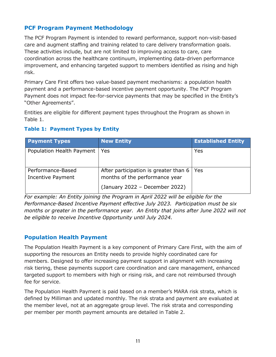# <span id="page-11-0"></span>**PCF Program Payment Methodology**

The PCF Program Payment is intended to reward performance, support non-visit-based care and augment staffing and training related to care delivery transformation goals. These activities include, but are not limited to improving access to care, care coordination across the healthcare continuum, implementing data-driven performance improvement, and enhancing targeted support to members identified as rising and high risk.

Primary Care First offers two value-based payment mechanisms: a population health payment and a performance-based incentive payment opportunity. The PCF Program Payment does not impact fee-for-service payments that may be specified in the Entity's "Other Agreements".

Entities are eligible for different payment types throughout the Program as shown in Table 1.

# **Payment Types New Entity New Entity Established Entity** Population Health Payment | Yes Yes Performance-Based Incentive Payment After participation is greater than 6 months of the performance year (January 2022 – December 2022) Yes

# **Table 1: Payment Types by Entity**

*For example: An Entity joining the Program in April 2022 will be eligible for the Performance-Based Incentive Payment effective July 2023. Participation must be six months or greater in the performance year. An Entity that joins after June 2022 will not be eligible to receive Incentive Opportunity until July 2024.* 

# <span id="page-11-1"></span>**Population Health Payment**

The Population Health Payment is a key component of Primary Care First, with the aim of supporting the resources an Entity needs to provide highly coordinated care for members. Designed to offer increasing payment support in alignment with increasing risk tiering, these payments support care coordination and care management, enhanced targeted support to members with high or rising risk, and care not reimbursed through fee for service.

The Population Health Payment is paid based on a member's MARA risk strata, which is defined by Milliman and updated monthly. The risk strata and payment are evaluated at the member level, not at an aggregate group level. The risk strata and corresponding per member per month payment amounts are detailed in Table 2.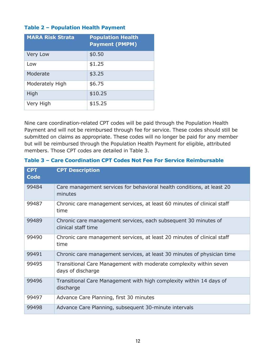#### **Table 2 – Population Health Payment**

| <b>MARA Risk Strata</b> | <b>Population Health</b><br><b>Payment (PMPM)</b> |
|-------------------------|---------------------------------------------------|
| Very Low                | \$0.50                                            |
| Low                     | \$1.25                                            |
| Moderate                | \$3.25                                            |
| Moderately High         | \$6.75                                            |
| High                    | \$10.25                                           |
| Very High               | \$15.25                                           |

Nine care coordination-related CPT codes will be paid through the Population Health Payment and will not be reimbursed through fee for service. These codes should still be submitted on claims as appropriate. These codes will no longer be paid for any member but will be reimbursed through the Population Health Payment for eligible, attributed members. Those CPT codes are detailed in Table 3.

| <b>CPT</b><br><b>Code</b> | <b>CPT Description</b>                                                                  |
|---------------------------|-----------------------------------------------------------------------------------------|
| 99484                     | Care management services for behavioral health conditions, at least 20<br>minutes       |
| 99487                     | Chronic care management services, at least 60 minutes of clinical staff<br>time         |
| 99489                     | Chronic care management services, each subsequent 30 minutes of<br>clinical staff time  |
| 99490                     | Chronic care management services, at least 20 minutes of clinical staff<br>time         |
| 99491                     | Chronic care management services, at least 30 minutes of physician time                 |
| 99495                     | Transitional Care Management with moderate complexity within seven<br>days of discharge |
| 99496                     | Transitional Care Management with high complexity within 14 days of<br>discharge        |
| 99497                     | Advance Care Planning, first 30 minutes                                                 |
| 99498                     | Advance Care Planning, subsequent 30-minute intervals                                   |

#### **Table 3 – Care Coordination CPT Codes Not Fee For Service Reimbursable**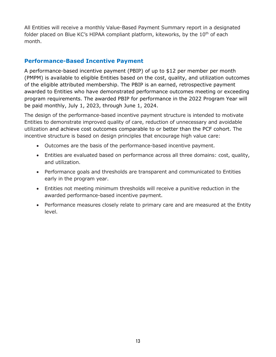All Entities will receive a monthly Value-Based Payment Summary report in a designated folder placed on Blue KC's HIPAA compliant platform, kiteworks, by the  $10<sup>th</sup>$  of each month.

# <span id="page-13-0"></span>**Performance-Based Incentive Payment**

A performance-based incentive payment (PBIP) of up to \$12 per member per month (PMPM) is available to eligible Entities based on the cost, quality, and utilization outcomes of the eligible attributed membership. The PBIP is an earned, retrospective payment awarded to Entities who have demonstrated performance outcomes meeting or exceeding program requirements. The awarded PBIP for performance in the 2022 Program Year will be paid monthly, July 1, 2023, through June 1, 2024.

The design of the performance-based incentive payment structure is intended to motivate Entities to demonstrate improved quality of care, reduction of unnecessary and avoidable utilization and achieve cost outcomes comparable to or better than the PCF cohort. The incentive structure is based on design principles that encourage high value care:

- Outcomes are the basis of the performance-based incentive payment.
- Entities are evaluated based on performance across all three domains: cost, quality, and utilization.
- Performance goals and thresholds are transparent and communicated to Entities early in the program year.
- Entities not meeting minimum thresholds will receive a punitive reduction in the awarded performance-based incentive payment.
- Performance measures closely relate to primary care and are measured at the Entity level.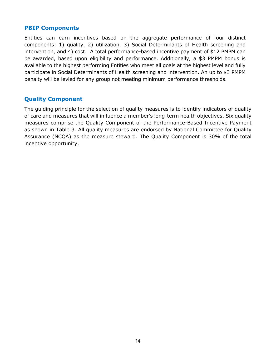#### <span id="page-14-0"></span>**PBIP Components**

Entities can earn incentives based on the aggregate performance of four distinct components: 1) quality, 2) utilization, 3) Social Determinants of Health screening and intervention, and 4) cost. A total performance-based incentive payment of \$12 PMPM can be awarded, based upon eligibility and performance. Additionally, a \$3 PMPM bonus is available to the highest performing Entities who meet all goals at the highest level and fully participate in Social Determinants of Health screening and intervention. An up to \$3 PMPM penalty will be levied for any group not meeting minimum performance thresholds.

# <span id="page-14-1"></span>**Quality Component**

The guiding principle for the selection of quality measures is to identify indicators of quality of care and measures that will influence a member's long-term health objectives. Six quality measures comprise the Quality Component of the Performance-Based Incentive Payment as shown in Table 3. All quality measures are endorsed by National Committee for Quality Assurance (NCQA) as the measure steward. The Quality Component is 30% of the total incentive opportunity.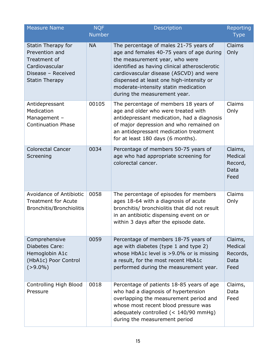| <b>Measure Name</b>                                                                                                   | <b>NQF</b><br><b>Number</b> | Description                                                                                                                                                                                                                                                                                                                           | Reporting<br><b>Type</b>                       |
|-----------------------------------------------------------------------------------------------------------------------|-----------------------------|---------------------------------------------------------------------------------------------------------------------------------------------------------------------------------------------------------------------------------------------------------------------------------------------------------------------------------------|------------------------------------------------|
| Statin Therapy for<br>Prevention and<br>Treatment of<br>Cardiovascular<br>Disease - Received<br><b>Statin Therapy</b> | <b>NA</b>                   | The percentage of males 21-75 years of<br>age and females 40-75 years of age during<br>the measurement year, who were<br>identified as having clinical atherosclerotic<br>cardiovascular disease (ASCVD) and were<br>dispensed at least one high-intensity or<br>moderate-intensity statin medication<br>during the measurement year. | Claims<br>Only                                 |
| Antidepressant<br>Medication<br>Management -<br><b>Continuation Phase</b>                                             | 00105                       | The percentage of members 18 years of<br>age and older who were treated with<br>antidepressant medication, had a diagnosis<br>of major depression and who remained on<br>an antidepressant medication treatment<br>for at least 180 days (6 months).                                                                                  | Claims<br>Only                                 |
| <b>Colorectal Cancer</b><br>Screening                                                                                 | 0034                        | Percentage of members 50-75 years of<br>age who had appropriate screening for<br>colorectal cancer.                                                                                                                                                                                                                                   | Claims,<br>Medical<br>Record,<br>Data<br>Feed  |
| Avoidance of Antibiotic<br><b>Treatment for Acute</b><br><b>Bronchitis/Bronchiolitis</b>                              | 0058                        | The percentage of episodes for members<br>ages 18-64 with a diagnosis of acute<br>bronchitis/ bronchiolitis that did not result<br>in an antibiotic dispensing event on or<br>within 3 days after the episode date.                                                                                                                   | Claims<br>Only                                 |
| Comprehensive<br>Diabetes Care:<br>Hemoglobin A1c<br>(HbA1c) Poor Control<br>$( > 9.0\%)$                             | 0059                        | Percentage of members 18-75 years of<br>age with diabetes (type 1 and type 2)<br>whose HbA1c level is >9.0% or is missing<br>a result, for the most recent HbA1c<br>performed during the measurement year.                                                                                                                            | Claims,<br>Medical<br>Records,<br>Data<br>Feed |
| Controlling High Blood<br>Pressure                                                                                    | 0018                        | Percentage of patients 18-85 years of age<br>who had a diagnosis of hypertension<br>overlapping the measurement period and<br>whose most recent blood pressure was<br>adequately controlled (< 140/90 mmHg)<br>during the measurement period                                                                                          | Claims,<br>Data<br>Feed                        |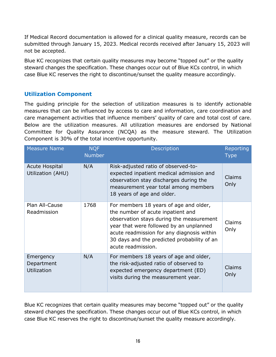If Medical Record documentation is allowed for a clinical quality measure, records can be submitted through January 15, 2023. Medical records received after January 15, 2023 will not be accepted.

Blue KC recognizes that certain quality measures may become "topped out" or the quality steward changes the specification. These changes occur out of Blue KCs control, in which case Blue KC reserves the right to discontinue/sunset the quality measure accordingly.

# <span id="page-16-0"></span>**Utilization Component**

The guiding principle for the selection of utilization measures is to identify actionable measures that can be influenced by access to care and information, care coordination and care management activities that influence members' quality of care and total cost of care. Below are the utilization measures. All utilization measures are endorsed by National Committee for Quality Assurance (NCQA) as the measure steward. The Utilization Component is 30% of the total incentive opportunity.

| <b>Measure Name</b>                           | <b>NQF</b><br><b>Number</b> | <b>Description</b>                                                                                                                                                                                                                                                                    | Reporting<br><b>Type</b> |
|-----------------------------------------------|-----------------------------|---------------------------------------------------------------------------------------------------------------------------------------------------------------------------------------------------------------------------------------------------------------------------------------|--------------------------|
| <b>Acute Hospital</b><br>Utilization (AHU)    | N/A                         | Risk-adjusted ratio of observed-to-<br>expected inpatient medical admission and<br>observation stay discharges during the<br>measurement year total among members<br>18 years of age and older.                                                                                       | <b>Claims</b><br>Only    |
| Plan All-Cause<br>Readmission                 | 1768                        | For members 18 years of age and older,<br>the number of acute inpatient and<br>observation stays during the measurement<br>year that were followed by an unplanned<br>acute readmission for any diagnosis within<br>30 days and the predicted probability of an<br>acute readmission. | Claims<br>Only           |
| Emergency<br>Department<br><b>Utilization</b> | N/A                         | For members 18 years of age and older,<br>the risk-adjusted ratio of observed to<br>expected emergency department (ED)<br>visits during the measurement year.                                                                                                                         | Claims<br>Only           |

Blue KC recognizes that certain quality measures may become "topped out" or the quality steward changes the specification. These changes occur out of Blue KCs control, in which case Blue KC reserves the right to discontinue/sunset the quality measure accordingly.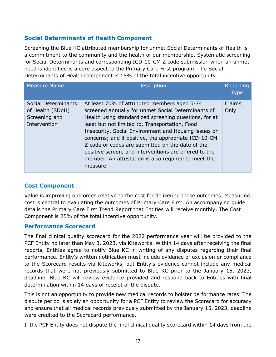# <span id="page-17-0"></span>**Social Determinants of Health Component**

Screening the Blue KC attributed membership for unmet Social Determinants of Health is a commitment to the community and the health of our membership. Systematic screening for Social Determinants and corresponding ICD-10-CM Z code submission when an unmet need is identified is a core aspect to the Primary Care First program. The Social Determinants of Health Component is 15% of the total incentive opportunity.

| <b>Measure Name</b>                                                      | <b>Description</b>                                                                                                                                                                                                                                                                                                                                                                                                                                                                                | Reporting<br><b>Type</b> |
|--------------------------------------------------------------------------|---------------------------------------------------------------------------------------------------------------------------------------------------------------------------------------------------------------------------------------------------------------------------------------------------------------------------------------------------------------------------------------------------------------------------------------------------------------------------------------------------|--------------------------|
| Social Determinants<br>of Health (SDoH)<br>Screening and<br>Intervention | At least 70% of attributed members aged 0-74<br>screened annually for unmet Social Determinants of<br>Health using standardized screening questions, for at<br>least but not limited to, Transportation, Food<br>Insecurity, Social Environment and Housing issues or<br>concerns; and if positive, the appropriate ICD-10-CM<br>Z code or codes are submitted on the date of the<br>positive screen, and interventions are offered to the<br>member. An attestation is also required to meet the | Claims<br>Only           |
|                                                                          | measure.                                                                                                                                                                                                                                                                                                                                                                                                                                                                                          |                          |

# <span id="page-17-1"></span>**Cost Component**

Value is improving outcomes relative to the cost for delivering those outcomes. Measuring cost is central to evaluating the outcomes of Primary Care First. An accompanying guide details the Primary Care First Trend Report that Entities will receive monthly. The Cost Component is 25% of the total incentive opportunity.

# <span id="page-17-2"></span>**Performance Scorecard**

The final clinical quality scorecard for the 2022 performance year will be provided to the PCF Entity no later than May 3, 2023, via Kiteworks. Within 14 days after receiving the final reports, Entities agree to notify Blue KC in writing of any disputes regarding their final performance. Entity's written notification must include evidence of exclusion or compliance to the Scorecard results via Kiteworks, but Entity's evidence cannot include any medical records that were not previously submitted to Blue KC prior to the January 15, 2023, deadline. Blue KC will review evidence provided and respond back to Entities with final determination within 14 days of receipt of the dispute.

This is not an opportunity to provide new medical records to bolster performance rates. The dispute period is solely an opportunity for a PCF Entity to review the Scorecard for accuracy and ensure that all medical records previously submitted by the January 15, 2023, deadline were credited to the Scorecard performance.

If the PCF Entity does not dispute the final clinical quality scorecard within 14 days from the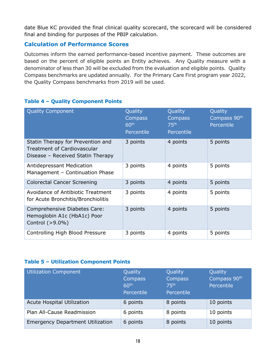date Blue KC provided the final clinical quality scorecard, the scorecard will be considered final and binding for purposes of the PBIP calculation.

# <span id="page-18-0"></span>**Calculation of Performance Scores**

Outcomes inform the earned performance-based incentive payment. These outcomes are based on the percent of eligible points an Entity achieves. Any Quality measure with a denominator of less than 30 will be excluded from the evaluation and eligible points. Quality Compass benchmarks are updated annually. For the Primary Care First program year 2022, the Quality Compass benchmarks from 2019 will be used.

| <b>Quality Component</b>                                                                                     | Quality<br>Compass<br>60 <sup>th</sup><br>Percentile | Quality<br><b>Compass</b><br>75 <sup>th</sup><br>Percentile | Quality<br>Compass 90 <sup>th</sup><br>Percentile |
|--------------------------------------------------------------------------------------------------------------|------------------------------------------------------|-------------------------------------------------------------|---------------------------------------------------|
| Statin Therapy for Prevention and<br><b>Treatment of Cardiovascular</b><br>Disease - Received Statin Therapy | 3 points                                             | 4 points                                                    | 5 points                                          |
| <b>Antidepressant Medication</b><br>Management - Continuation Phase                                          | 3 points                                             | 4 points                                                    | 5 points                                          |
| Colorectal Cancer Screening                                                                                  | 3 points                                             | 4 points                                                    | 5 points                                          |
| Avoidance of Antibiotic Treatment<br>for Acute Bronchitis/Bronchiolitis                                      | 3 points                                             | 4 points                                                    | 5 points                                          |
| Comprehensive Diabetes Care:<br>Hemoglobin A1c (HbA1c) Poor<br>Control $(>9.0\%)$                            | 3 points                                             | 4 points                                                    | 5 points                                          |
| Controlling High Blood Pressure                                                                              | 3 points                                             | 4 points                                                    | 5 points                                          |

# **Table 4 – Quality Component Points**

# **Table 5 – Utilization Component Points**

| <b>Utilization Component</b>            | Quality<br>Compass<br>60 <sup>th</sup><br>Percentile | Quality<br>Compass<br>75 <sup>th</sup><br>Percentile | Quality<br>Compass 90 <sup>th</sup><br>Percentile |
|-----------------------------------------|------------------------------------------------------|------------------------------------------------------|---------------------------------------------------|
| Acute Hospital Utilization              | 6 points                                             | 8 points                                             | 10 points                                         |
| Plan All-Cause Readmission              | 6 points                                             | 8 points                                             | 10 points                                         |
| <b>Emergency Department Utilization</b> | 6 points                                             | 8 points                                             | 10 points                                         |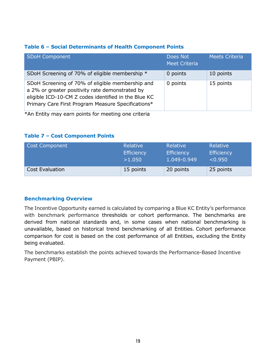#### **Table 6 – Social Determinants of Health Component Points**

| <b>SDoH Component</b>                                                                                                                                                                                             | Does Not<br><b>Meet Criteria</b> | <b>Meets Criteria</b> |
|-------------------------------------------------------------------------------------------------------------------------------------------------------------------------------------------------------------------|----------------------------------|-----------------------|
| SDoH Screening of 70% of eligible membership *                                                                                                                                                                    | 0 points                         | 10 points             |
| SDoH Screening of 70% of eligible membership and<br>a 2% or greater positivity rate demonstrated by<br>eligible ICD-10-CM Z codes identified in the Blue KC<br>Primary Care First Program Measure Specifications* | 0 points                         | 15 points             |

\*An Entity may earn points for meeting one criteria

#### **Table 7 – Cost Component Points**

| Cost Component         | Relative          | Relative          | Relative          |
|------------------------|-------------------|-------------------|-------------------|
|                        | <b>Efficiency</b> | <b>Efficiency</b> | <b>Efficiency</b> |
|                        | >1.050            | 1.049-0.949       | < 0.950           |
| <b>Cost Evaluation</b> | 15 points         | 20 points         | 25 points         |

# <span id="page-19-0"></span>**Benchmarking Overview**

The Incentive Opportunity earned is calculated by comparing a Blue KC Entity's performance with benchmark performance thresholds or cohort performance. The benchmarks are derived from national standards and, in some cases when national benchmarking is unavailable, based on historical trend benchmarking of all Entities. Cohort performance comparison for cost is based on the cost performance of all Entities, excluding the Entity being evaluated.

The benchmarks establish the points achieved towards the Performance-Based Incentive Payment (PBIP).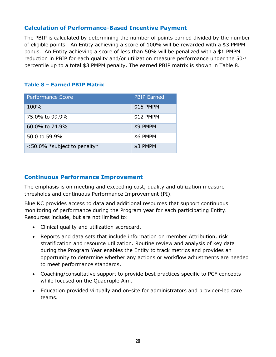# <span id="page-20-0"></span>**Calculation of Performance-Based Incentive Payment**

The PBIP is calculated by determining the number of points earned divided by the number of eligible points. An Entity achieving a score of 100% will be rewarded with a \$3 PMPM bonus. An Entity achieving a score of less than 50% will be penalized with a \$1 PMPM reduction in PBIP for each quality and/or utilization measure performance under the  $50<sup>th</sup>$ percentile up to a total \$3 PMPM penalty. The earned PBIP matrix is shown in Table 8.

# **Table 8 – Earned PBIP Matrix**

| <b>Performance Score</b>       | <b>PBIP Earned</b> |
|--------------------------------|--------------------|
| 100%                           | \$15 PMPM          |
| 75.0% to 99.9%                 | \$12 PMPM          |
| 60.0% to 74.9%                 | \$9 PMPM           |
| 50.0 to 59.9%                  | \$6 PMPM           |
| $<$ 50.0% *subject to penalty* | \$3 PMPM           |

# <span id="page-20-1"></span>**Continuous Performance Improvement**

The emphasis is on meeting and exceeding cost, quality and utilization measure thresholds and continuous Performance Improvement (PI).

Blue KC provides access to data and additional resources that support continuous monitoring of performance during the Program year for each participating Entity. Resources include, but are not limited to:

- Clinical quality and utilization scorecard.
- Reports and data sets that include information on member Attribution, risk stratification and resource utilization. Routine review and analysis of key data during the Program Year enables the Entity to track metrics and provides an opportunity to determine whether any actions or workflow adjustments are needed to meet performance standards.
- Coaching/consultative support to provide best practices specific to PCF concepts while focused on the Quadruple Aim.
- Education provided virtually and on-site for administrators and provider-led care teams.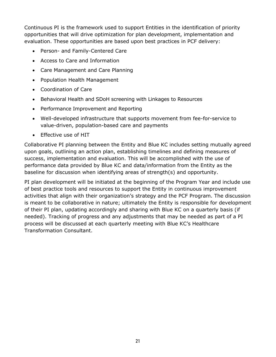Continuous PI is the framework used to support Entities in the identification of priority opportunities that will drive optimization for plan development, implementation and evaluation. These opportunities are based upon best practices in PCF delivery:

- Person- and Family-Centered Care
- Access to Care and Information
- Care Management and Care Planning
- Population Health Management
- Coordination of Care
- Behavioral Health and SDoH screening with Linkages to Resources
- Performance Improvement and Reporting
- Well-developed infrastructure that supports movement from fee-for-service to value-driven, population-based care and payments
- Effective use of HIT

Collaborative PI planning between the Entity and Blue KC includes setting mutually agreed upon goals, outlining an action plan, establishing timelines and defining measures of success, implementation and evaluation. This will be accomplished with the use of performance data provided by Blue KC and data/information from the Entity as the baseline for discussion when identifying areas of strength(s) and opportunity.

PI plan development will be initiated at the beginning of the Program Year and include use of best practice tools and resources to support the Entity in continuous improvement activities that align with their organization's strategy and the PCF Program. The discussion is meant to be collaborative in nature; ultimately the Entity is responsible for development of their PI plan, updating accordingly and sharing with Blue KC on a quarterly basis (if needed). Tracking of progress and any adjustments that may be needed as part of a PI process will be discussed at each quarterly meeting with Blue KC's Healthcare Transformation Consultant.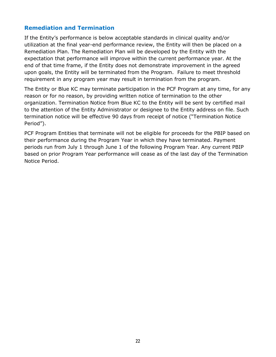# <span id="page-22-0"></span>**Remediation and Termination**

If the Entity's performance is below acceptable standards in clinical quality and/or utilization at the final year-end performance review, the Entity will then be placed on a Remediation Plan. The Remediation Plan will be developed by the Entity with the expectation that performance will improve within the current performance year. At the end of that time frame, if the Entity does not demonstrate improvement in the agreed upon goals, the Entity will be terminated from the Program. Failure to meet threshold requirement in any program year may result in termination from the program.

The Entity or Blue KC may terminate participation in the PCF Program at any time, for any reason or for no reason, by providing written notice of termination to the other organization. Termination Notice from Blue KC to the Entity will be sent by certified mail to the attention of the Entity Administrator or designee to the Entity address on file. Such termination notice will be effective 90 days from receipt of notice ("Termination Notice Period").

PCF Program Entities that terminate will not be eligible for proceeds for the PBIP based on their performance during the Program Year in which they have terminated. Payment periods run from July 1 through June 1 of the following Program Year. Any current PBIP based on prior Program Year performance will cease as of the last day of the Termination Notice Period.